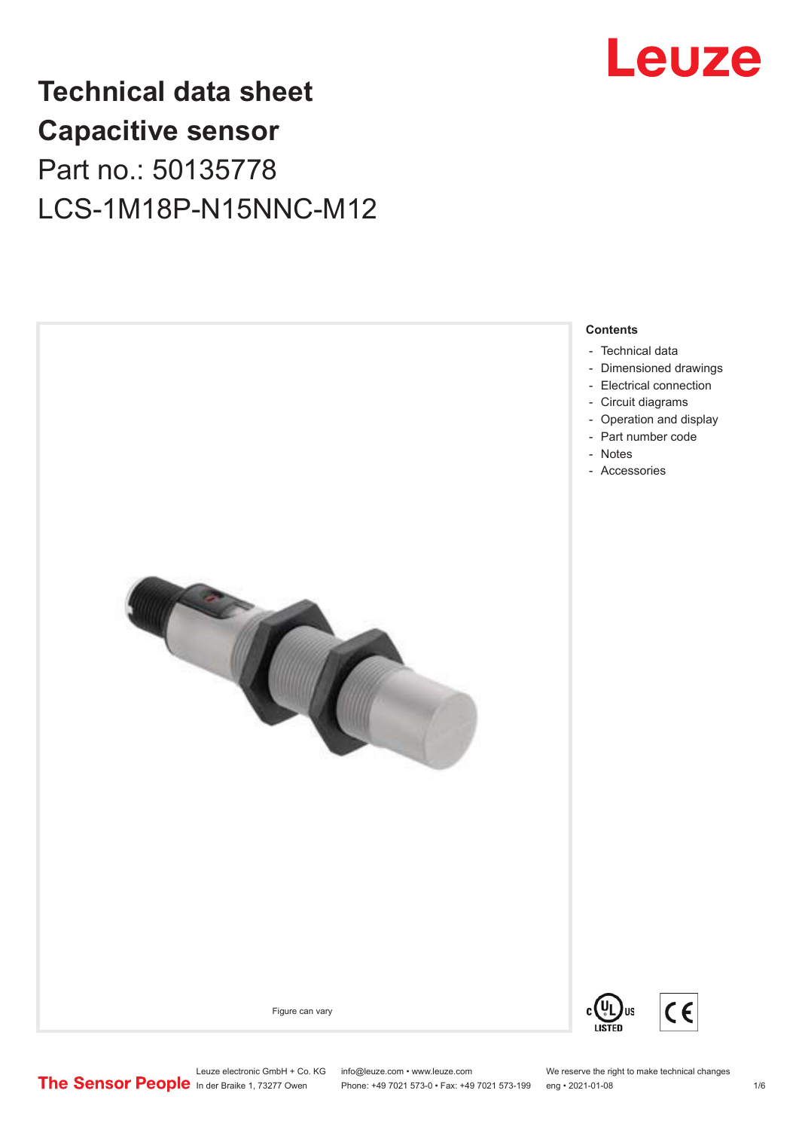

# **Technical data sheet Capacitive sensor** Part no.: 50135778 LCS-1M18P-N15NNC-M12



Leuze electronic GmbH + Co. KG info@leuze.com • www.leuze.com We reserve the right to make technical changes<br>
The Sensor People in der Braike 1, 73277 Owen Phone: +49 7021 573-0 • Fax: +49 7021 573-199 eng • 2021-01-08

Phone: +49 7021 573-0 • Fax: +49 7021 573-199 eng • 2021-01-08 1/6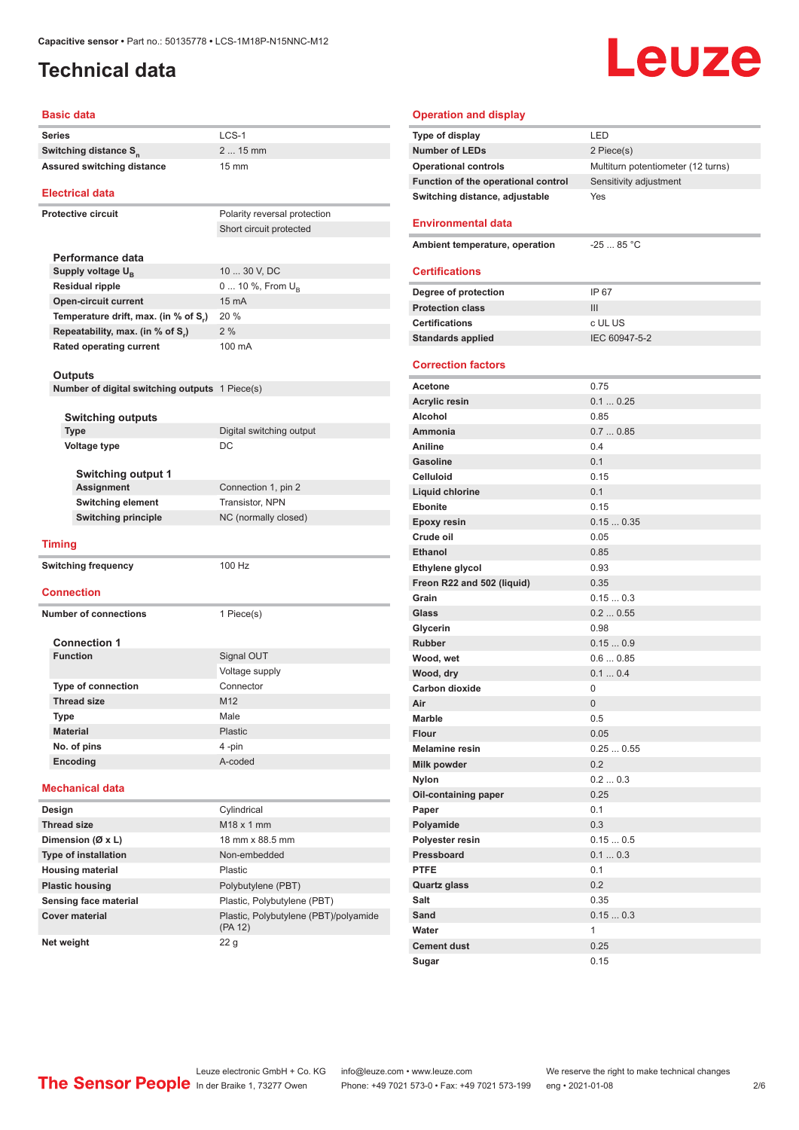### <span id="page-1-0"></span>**Technical data**

# Leuze

#### **Basic data**

|                             | Series                                         | $LCS-1$                               |  |
|-----------------------------|------------------------------------------------|---------------------------------------|--|
|                             | Switching distance S <sub>n</sub>              | 2  15 mm                              |  |
|                             | <b>Assured switching distance</b>              | $15 \text{ mm}$                       |  |
|                             |                                                |                                       |  |
|                             | <b>Electrical data</b>                         |                                       |  |
|                             | <b>Protective circuit</b>                      | Polarity reversal protection          |  |
|                             |                                                | Short circuit protected               |  |
|                             |                                                |                                       |  |
|                             | Performance data                               |                                       |  |
|                             | Supply voltage U <sub>p</sub>                  | 10  30 V, DC                          |  |
|                             | <b>Residual ripple</b>                         | 0  10 %, From U <sub>B</sub>          |  |
|                             | <b>Open-circuit current</b>                    | 15 mA                                 |  |
|                             | Temperature drift, max. (in % of S.)           | 20 %                                  |  |
|                             | Repeatability, max. (in % of S.)               | 2%                                    |  |
|                             | <b>Rated operating current</b>                 | 100 mA                                |  |
|                             |                                                |                                       |  |
|                             | Outputs                                        |                                       |  |
|                             | Number of digital switching outputs 1 Piece(s) |                                       |  |
|                             |                                                |                                       |  |
|                             | <b>Switching outputs</b>                       |                                       |  |
|                             | <b>Type</b>                                    | Digital switching output              |  |
|                             | <b>Voltage type</b>                            | DC                                    |  |
|                             |                                                |                                       |  |
|                             | <b>Switching output 1</b>                      |                                       |  |
| <b>Assignment</b>           |                                                | Connection 1, pin 2                   |  |
|                             | <b>Switching element</b>                       | <b>Transistor, NPN</b>                |  |
| <b>Switching principle</b>  |                                                | NC (normally closed)                  |  |
|                             |                                                |                                       |  |
|                             | <b>Timing</b>                                  |                                       |  |
| <b>Switching frequency</b>  |                                                | 100 Hz                                |  |
|                             |                                                |                                       |  |
|                             | <b>Connection</b>                              |                                       |  |
|                             | <b>Number of connections</b>                   | 1 Piece(s)                            |  |
|                             |                                                |                                       |  |
|                             | <b>Connection 1</b>                            |                                       |  |
|                             | <b>Function</b>                                | Signal OUT                            |  |
|                             |                                                | Voltage supply                        |  |
|                             | <b>Type of connection</b>                      | Connector                             |  |
|                             | <b>Thread size</b>                             | M12                                   |  |
|                             | Type                                           | Male                                  |  |
|                             | <b>Material</b>                                | Plastic                               |  |
|                             | No. of pins                                    | 4 -pin                                |  |
|                             | Encoding                                       | A-coded                               |  |
|                             |                                                |                                       |  |
|                             | <b>Mechanical data</b>                         |                                       |  |
|                             | Design                                         | Cylindrical                           |  |
|                             | <b>Thread size</b>                             | M18 x 1 mm                            |  |
| Dimension (Ø x L)           |                                                | 18 mm x 88.5 mm                       |  |
| <b>Type of installation</b> |                                                | Non-embedded                          |  |
|                             | <b>Housing material</b>                        | Plastic                               |  |
|                             | <b>Plastic housing</b>                         | Polybutylene (PBT)                    |  |
|                             |                                                |                                       |  |
|                             | Sensing face material                          | Plastic, Polybutylene (PBT)           |  |
|                             | <b>Cover material</b>                          | Plastic, Polybutylene (PBT)/polyamide |  |

| <b>Operation and display</b>        |                                    |
|-------------------------------------|------------------------------------|
| Type of display                     | LED                                |
| <b>Number of LEDs</b>               | 2 Piece(s)                         |
| <b>Operational controls</b>         | Multiturn potentiometer (12 turns) |
| Function of the operational control | Sensitivity adjustment             |
| Switching distance, adjustable      | Yes                                |
|                                     |                                    |
| <b>Environmental data</b>           |                                    |
| Ambient temperature, operation      | $-2585 °C$                         |
|                                     |                                    |
| <b>Certifications</b>               |                                    |
| Degree of protection                | IP 67                              |
| <b>Protection class</b>             | III                                |
| <b>Certifications</b>               | c UL US                            |
| <b>Standards applied</b>            | IEC 60947-5-2                      |
|                                     |                                    |
| <b>Correction factors</b>           |                                    |
| Acetone                             | 0.75                               |
| <b>Acrylic resin</b>                | 0.10.25                            |
| Alcohol                             | 0.85                               |
| Ammonia                             | 0.70.85                            |
| Aniline                             | 0.4                                |
| <b>Gasoline</b>                     | 0.1                                |
| <b>Celluloid</b>                    | 0.15                               |
| Liquid chlorine                     | 0.1                                |
| <b>Ebonite</b>                      | 0.15                               |
| <b>Epoxy resin</b>                  | 0.150.35                           |
| Crude oil                           | 0.05                               |
| <b>Ethanol</b>                      | 0.85                               |
| Ethylene glycol                     | 0.93                               |
| Freon R22 and 502 (liquid)          | 0.35                               |
| Grain                               | 0.150.3                            |
| Glass                               | 0.20.55                            |
| Glycerin                            | 0.98                               |
| <b>Rubber</b>                       | 0.150.9                            |
| Wood, wet                           | 0.60.85                            |
| Wood, dry                           | 0.10.4                             |
| <b>Carbon dioxide</b>               | 0                                  |
| Air                                 | 0                                  |
| Marble                              | 0.5                                |
| <b>Flour</b>                        | 0.05                               |
| <b>Melamine resin</b>               | 0.250.55                           |
| Milk powder                         | 0.2                                |
| <b>Nylon</b>                        | 0.20.3                             |
| Oil-containing paper                | 0.25                               |
| Paper                               | 0.1                                |
| Polyamide                           | 0.3                                |
| Polyester resin<br>Pressboard       | 0.150.5                            |
| <b>PTFE</b>                         | 0.10.3<br>0.1                      |
|                                     | 0.2                                |
| <b>Quartz glass</b><br>Salt         | 0.35                               |
| Sand                                |                                    |
| Water                               | 0.150.3<br>1                       |
| <b>Cement dust</b>                  | 0.25                               |
| Sugar                               | 0.15                               |
|                                     |                                    |

**Net weight** 22 g

(PA 12)

Leuze electronic GmbH + Co. KG info@leuze.com • www.leuze.com We reserve the right to make technical changes ln der Braike 1, 73277 Owen Phone: +49 7021 573-0 • Fax: +49 7021 573-199 eng • 2021-01-08 2/6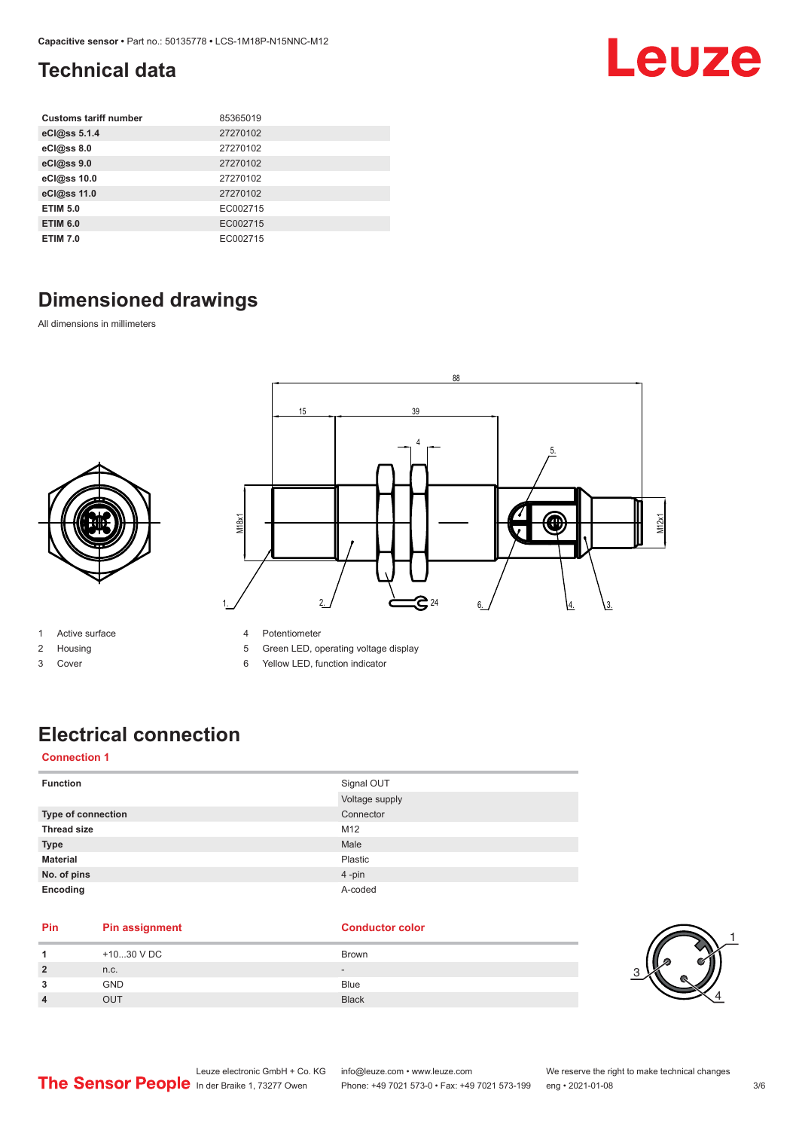### <span id="page-2-0"></span>**Technical data**

| <b>Customs tariff number</b> | 85365019 |
|------------------------------|----------|
| eCl@ss 5.1.4                 | 27270102 |
| eCl@ss 8.0                   | 27270102 |
| eCl@ss 9.0                   | 27270102 |
| eCl@ss 10.0                  | 27270102 |
| eCl@ss 11.0                  | 27270102 |
| <b>ETIM 5.0</b>              | EC002715 |
| <b>ETIM 6.0</b>              | EC002715 |
| <b>ETIM 7.0</b>              | EC002715 |

## **Dimensioned drawings**

All dimensions in millimeters



- 1 Active surface
- 2 Housing
- 3 Cover
- 4 Potentiometer
- 5 Green LED, operating voltage display
- 6 Yellow LED, function indicator

#### **Electrical connection**

#### **Connection 1**

| <b>Function</b>    | Signal OUT<br>Voltage supply |
|--------------------|------------------------------|
| Type of connection | Connector                    |
| <b>Thread size</b> | M12                          |
| <b>Type</b>        | Male                         |
| <b>Material</b>    | Plastic                      |
| No. of pins        | 4-pin                        |
| Encoding           | A-coded                      |

#### **Pin Pin assignment Conductor Conductor Color**

|                | +1030 V DC | Brown                    |
|----------------|------------|--------------------------|
| $\overline{2}$ | n.c.       | $\overline{\phantom{0}}$ |
| 3              | <b>GND</b> | Blue                     |
| 4              | OUT        | <b>Black</b>             |



Leuze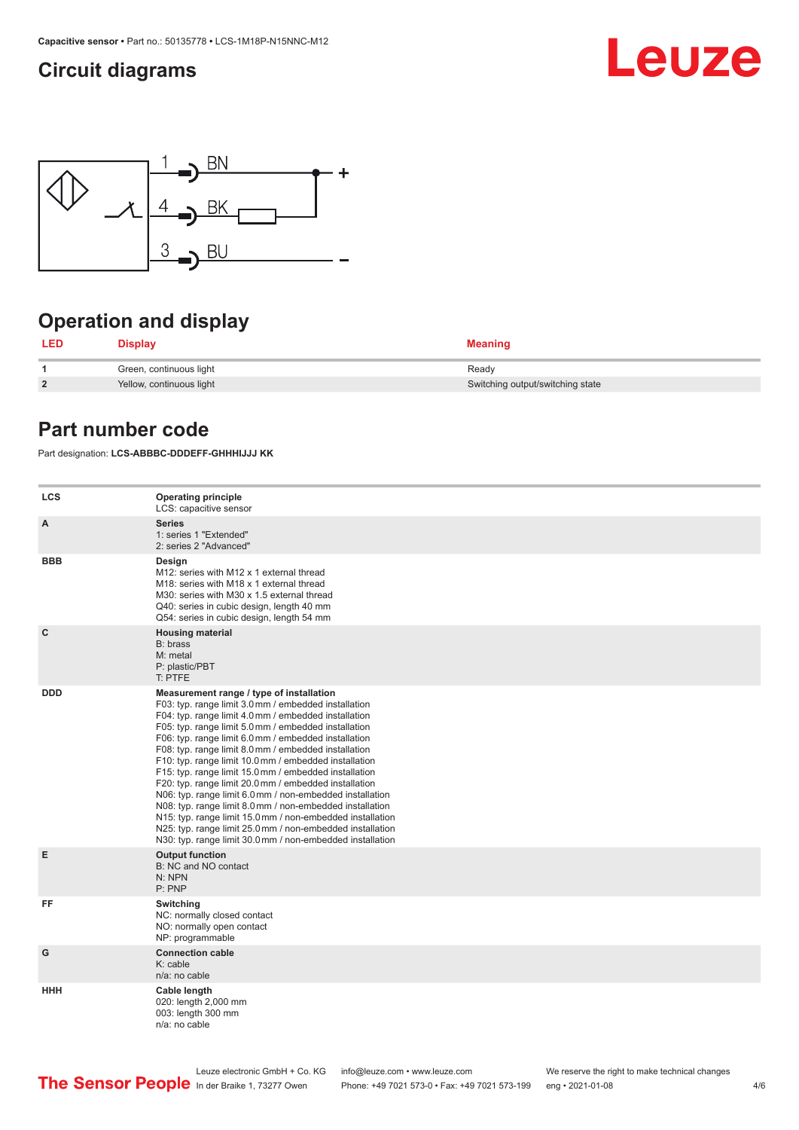#### <span id="page-3-0"></span>**Circuit diagrams**





## **Operation and display**

| LED            | <b>Display</b>           | <b>Meaning</b>                   |
|----------------|--------------------------|----------------------------------|
|                | Green, continuous light  | Ready                            |
| $\overline{2}$ | Yellow, continuous light | Switching output/switching state |

#### **Part number code**

Part designation: **LCS-ABBBC-DDDEFF-GHHHIJJJ KK**

| <b>LCS</b>   | <b>Operating principle</b><br>LCS: capacitive sensor                                                                                                                                                                                                                                                                                                                                                                                                                                                                                                                                                                                                                                                                                                                                                                       |
|--------------|----------------------------------------------------------------------------------------------------------------------------------------------------------------------------------------------------------------------------------------------------------------------------------------------------------------------------------------------------------------------------------------------------------------------------------------------------------------------------------------------------------------------------------------------------------------------------------------------------------------------------------------------------------------------------------------------------------------------------------------------------------------------------------------------------------------------------|
| A            | <b>Series</b><br>1: series 1 "Extended"<br>2: series 2 "Advanced"                                                                                                                                                                                                                                                                                                                                                                                                                                                                                                                                                                                                                                                                                                                                                          |
| <b>BBB</b>   | Design<br>M12: series with M12 x 1 external thread<br>M18: series with M18 x 1 external thread<br>M30: series with M30 x 1.5 external thread<br>Q40: series in cubic design, length 40 mm<br>Q54: series in cubic design, length 54 mm                                                                                                                                                                                                                                                                                                                                                                                                                                                                                                                                                                                     |
| $\mathbf{C}$ | <b>Housing material</b><br>B: brass<br>M: metal<br>P: plastic/PBT<br>T: PTFE                                                                                                                                                                                                                                                                                                                                                                                                                                                                                                                                                                                                                                                                                                                                               |
| <b>DDD</b>   | Measurement range / type of installation<br>F03: typ. range limit 3.0 mm / embedded installation<br>F04: typ. range limit 4.0 mm / embedded installation<br>F05: typ. range limit 5.0 mm / embedded installation<br>F06: typ. range limit 6.0 mm / embedded installation<br>F08: typ. range limit 8.0 mm / embedded installation<br>F10: typ. range limit 10.0 mm / embedded installation<br>F15: typ. range limit 15.0 mm / embedded installation<br>F20: typ. range limit 20.0 mm / embedded installation<br>N06: typ. range limit 6.0 mm / non-embedded installation<br>N08: typ. range limit 8.0 mm / non-embedded installation<br>N15: typ. range limit 15.0 mm / non-embedded installation<br>N25: typ. range limit 25.0 mm / non-embedded installation<br>N30: typ. range limit 30.0 mm / non-embedded installation |
| E            | <b>Output function</b><br>B: NC and NO contact<br>N: NPN<br>P: PNP                                                                                                                                                                                                                                                                                                                                                                                                                                                                                                                                                                                                                                                                                                                                                         |
| FF           | Switching<br>NC: normally closed contact<br>NO: normally open contact<br>NP: programmable                                                                                                                                                                                                                                                                                                                                                                                                                                                                                                                                                                                                                                                                                                                                  |
| G            | <b>Connection cable</b><br>K: cable<br>n/a: no cable                                                                                                                                                                                                                                                                                                                                                                                                                                                                                                                                                                                                                                                                                                                                                                       |
| HHH          | Cable length<br>020: length 2,000 mm<br>003: length 300 mm<br>n/a: no cable                                                                                                                                                                                                                                                                                                                                                                                                                                                                                                                                                                                                                                                                                                                                                |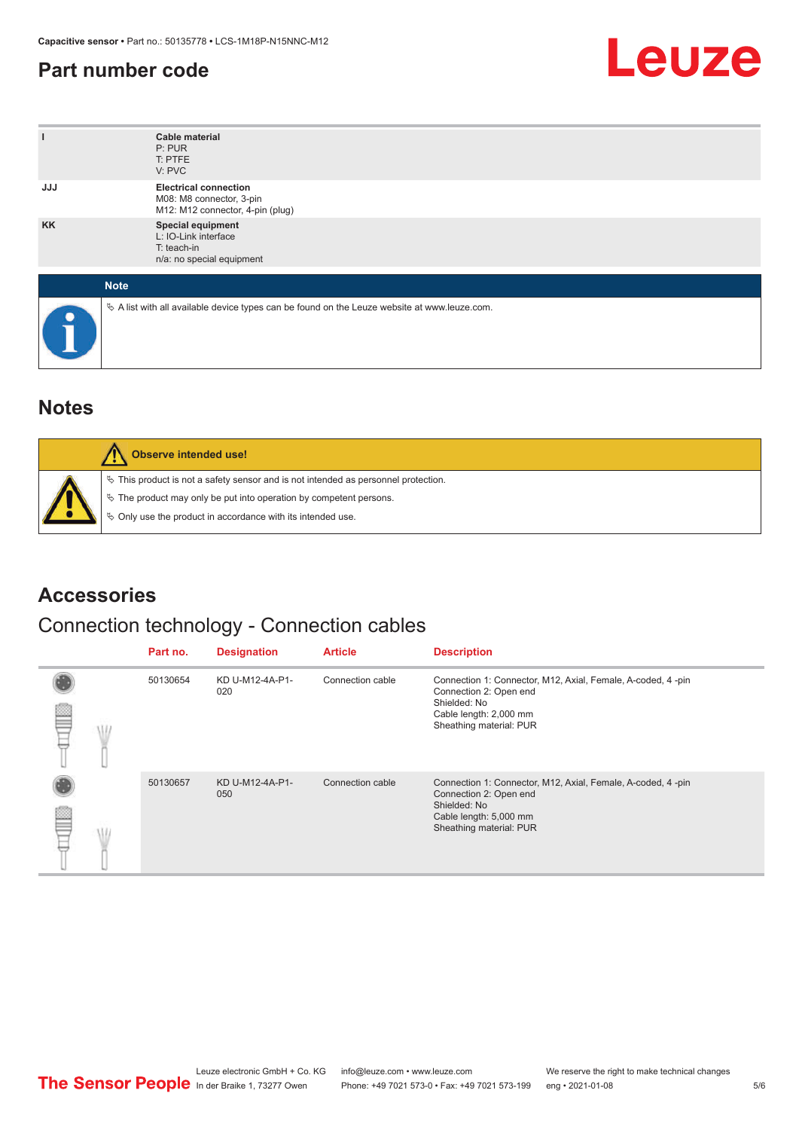#### <span id="page-4-0"></span>**Part number code**



| ı           | <b>Cable material</b><br>P: PUR<br>T: PTFE<br>V: PVC                                            |
|-------------|-------------------------------------------------------------------------------------------------|
| <b>JJJ</b>  | <b>Electrical connection</b><br>M08: M8 connector, 3-pin<br>M12: M12 connector, 4-pin (plug)    |
| <b>KK</b>   | Special equipment<br>L: IO-Link interface<br>T: teach-in<br>n/a: no special equipment           |
| <b>Note</b> |                                                                                                 |
| $\bullet$   | $\&$ A list with all available device types can be found on the Leuze website at www.leuze.com. |

#### **Notes**

| Observe intended use!                                                                                                                                                                                                      |
|----------------------------------------------------------------------------------------------------------------------------------------------------------------------------------------------------------------------------|
| $\%$ This product is not a safety sensor and is not intended as personnel protection.<br>§ The product may only be put into operation by competent persons.<br>♦ Only use the product in accordance with its intended use. |

#### **Accessories**

#### Connection technology - Connection cables

|  | Part no. | <b>Designation</b>     | <b>Article</b>   | <b>Description</b>                                                                                                                                         |
|--|----------|------------------------|------------------|------------------------------------------------------------------------------------------------------------------------------------------------------------|
|  | 50130654 | KD U-M12-4A-P1-<br>020 | Connection cable | Connection 1: Connector, M12, Axial, Female, A-coded, 4-pin<br>Connection 2: Open end<br>Shielded: No<br>Cable length: 2,000 mm<br>Sheathing material: PUR |
|  | 50130657 | KD U-M12-4A-P1-<br>050 | Connection cable | Connection 1: Connector, M12, Axial, Female, A-coded, 4-pin<br>Connection 2: Open end<br>Shielded: No<br>Cable length: 5,000 mm<br>Sheathing material: PUR |